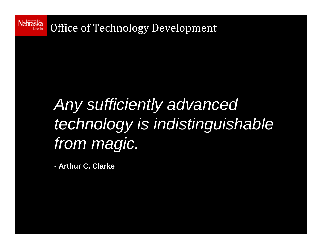

### *Any sufficiently advanced technology is indistinguishable from magic.*

**- Arthur C. Clarke**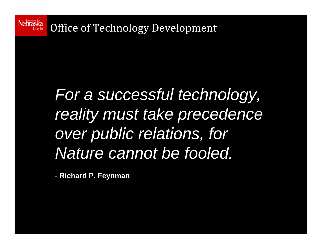

Office of Technology Development

## *For a successful technology, reality must take precedence over public relations, for Nature cannot be fooled.*

- **Richard P. Feynman**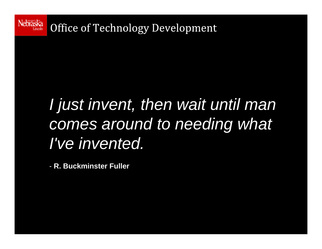

### *I just invent, then wait until man comes around to needing what I've invented.*

- **R. Buckminster Fuller**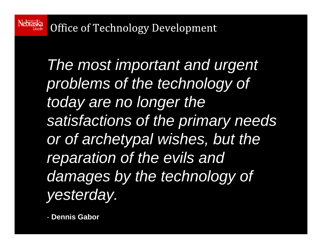**Nebraska** Office of Technology Development

> *The most important and urgent problems of the technology of today are no longer the satisfactions of the primary needs or of archetypal wishes, but the reparation of the evils and damages by the technology of yesterday.*

- **Dennis Gabor**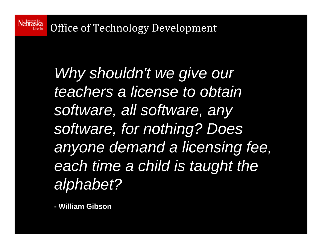Nebraska Office of Technology Development

> *Why shouldn't we give our teachers a license to obtain software, all software, any software, for nothing? Does anyone demand a licensing fee, each time a child is taught the alphabet?*

**- William Gibson**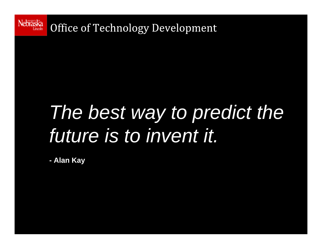

## *The best way to predict the future is to invent it.*

**- Alan Kay**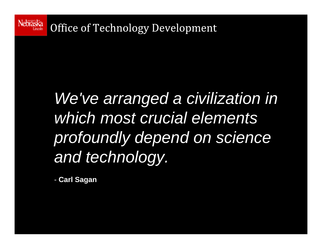

Office of Technology Development

## *We've arranged a civilization in which most crucial elements profoundly depend on science and technology.*

- **Carl Sagan**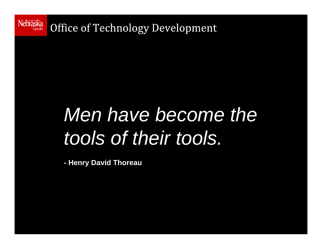

## *Men have become the tools of their tools.*

**- Henry David Thoreau**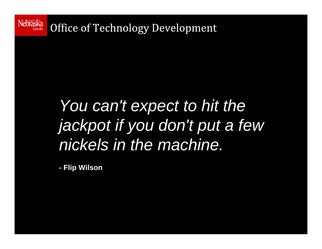

#### *You can't expect to hit the jackpot if you don't put a few nickels in the machine.*

**- Flip Wilson**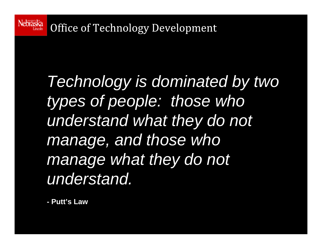

## *Technology is dominated by two types of people: those who understand what they do not manage, and those who manage what they do not understand.*

**- Putt's Law**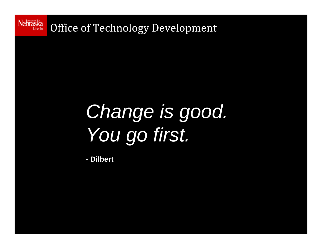

Office of Technology Development

# *Change is good. You go first.*

**- Dilbert**